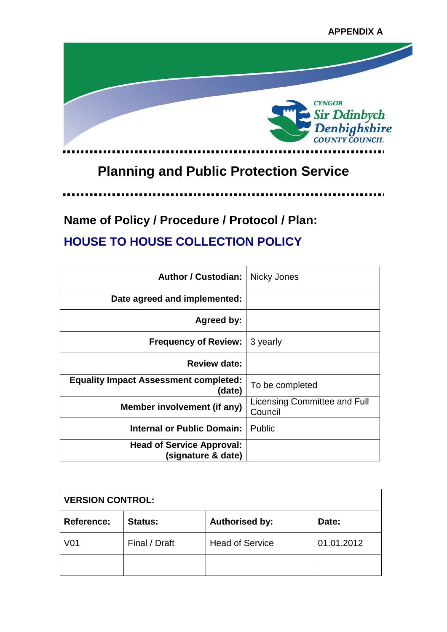

# **Planning and Public Protection Service**

.....

**Name of Policy / Procedure / Protocol / Plan: HOUSE TO HOUSE COLLECTION POLICY**

| <b>Author / Custodian:</b>                             | Nicky Jones                             |
|--------------------------------------------------------|-----------------------------------------|
| Date agreed and implemented:                           |                                         |
| Agreed by:                                             |                                         |
| <b>Frequency of Review:</b>                            | 3 yearly                                |
| <b>Review date:</b>                                    |                                         |
| <b>Equality Impact Assessment completed:</b><br>(date) | To be completed                         |
| Member involvement (if any)                            | Licensing Committee and Full<br>Council |
| Internal or Public Domain:                             | <b>Public</b>                           |
| <b>Head of Service Approval:</b><br>(signature & date) |                                         |

| <b>VERSION CONTROL:</b> |                |                        |            |
|-------------------------|----------------|------------------------|------------|
| Reference:              | <b>Status:</b> | <b>Authorised by:</b>  | Date:      |
| V <sub>01</sub>         | Final / Draft  | <b>Head of Service</b> | 01.01.2012 |
|                         |                |                        |            |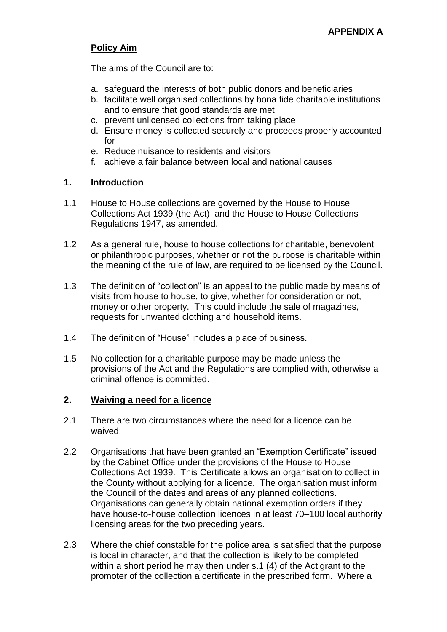## **Policy Aim**

The aims of the Council are to:

- a. safeguard the interests of both public donors and beneficiaries
- b. facilitate well organised collections by bona fide charitable institutions and to ensure that good standards are met
- c. prevent unlicensed collections from taking place
- d. Ensure money is collected securely and proceeds properly accounted for
- e. Reduce nuisance to residents and visitors
- f. achieve a fair balance between local and national causes

## **1. Introduction**

- 1.1 House to House collections are governed by the House to House Collections Act 1939 (the Act) and the House to House Collections Regulations 1947, as amended.
- 1.2 As a general rule, house to house collections for charitable, benevolent or philanthropic purposes, whether or not the purpose is charitable within the meaning of the rule of law, are required to be licensed by the Council.
- 1.3 The definition of "collection" is an appeal to the public made by means of visits from house to house, to give, whether for consideration or not, money or other property. This could include the sale of magazines, requests for unwanted clothing and household items.
- 1.4 The definition of "House" includes a place of business.
- 1.5 No collection for a charitable purpose may be made unless the provisions of the Act and the Regulations are complied with, otherwise a criminal offence is committed.

## **2. Waiving a need for a licence**

- 2.1 There are two circumstances where the need for a licence can be waived:
- 2.2 Organisations that have been granted an "Exemption Certificate" issued by the Cabinet Office under the provisions of the House to House Collections Act 1939. This Certificate allows an organisation to collect in the County without applying for a licence. The organisation must inform the Council of the dates and areas of any planned collections. Organisations can generally obtain national exemption orders if they have house-to-house collection licences in at least 70–100 local authority licensing areas for the two preceding years.
- 2.3 Where the chief constable for the police area is satisfied that the purpose is local in character, and that the collection is likely to be completed within a short period he may then under s.1 (4) of the Act grant to the promoter of the collection a certificate in the prescribed form. Where a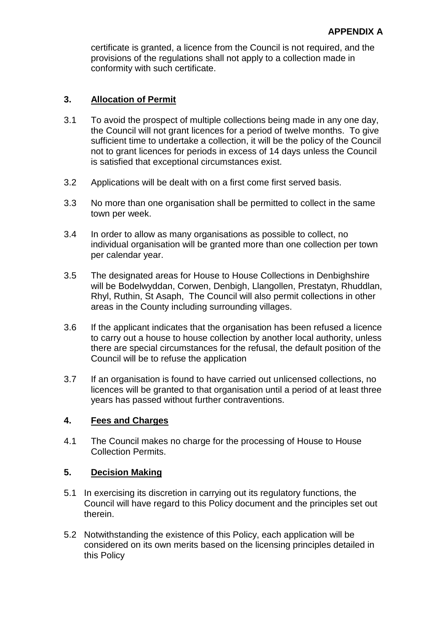certificate is granted, a licence from the Council is not required, and the provisions of the regulations shall not apply to a collection made in conformity with such certificate.

### **3. Allocation of Permit**

- 3.1 To avoid the prospect of multiple collections being made in any one day, the Council will not grant licences for a period of twelve months. To give sufficient time to undertake a collection, it will be the policy of the Council not to grant licences for periods in excess of 14 days unless the Council is satisfied that exceptional circumstances exist.
- 3.2 Applications will be dealt with on a first come first served basis.
- 3.3 No more than one organisation shall be permitted to collect in the same town per week.
- 3.4 In order to allow as many organisations as possible to collect, no individual organisation will be granted more than one collection per town per calendar year.
- 3.5 The designated areas for House to House Collections in Denbighshire will be Bodelwyddan, Corwen, Denbigh, Llangollen, Prestatyn, Rhuddlan, Rhyl, Ruthin, St Asaph, The Council will also permit collections in other areas in the County including surrounding villages.
- 3.6 If the applicant indicates that the organisation has been refused a licence to carry out a house to house collection by another local authority, unless there are special circumstances for the refusal, the default position of the Council will be to refuse the application
- 3.7 If an organisation is found to have carried out unlicensed collections, no licences will be granted to that organisation until a period of at least three years has passed without further contraventions.

#### **4. Fees and Charges**

4.1 The Council makes no charge for the processing of House to House Collection Permits.

#### **5. Decision Making**

- 5.1 In exercising its discretion in carrying out its regulatory functions, the Council will have regard to this Policy document and the principles set out therein.
- 5.2 Notwithstanding the existence of this Policy, each application will be considered on its own merits based on the licensing principles detailed in this Policy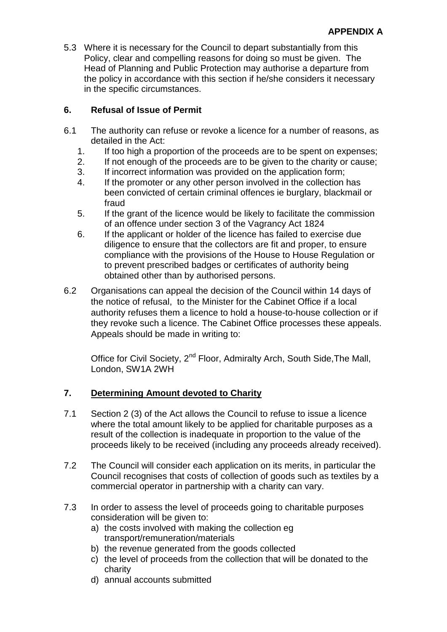5.3 Where it is necessary for the Council to depart substantially from this Policy, clear and compelling reasons for doing so must be given. The Head of Planning and Public Protection may authorise a departure from the policy in accordance with this section if he/she considers it necessary in the specific circumstances.

## **6. Refusal of Issue of Permit**

- 6.1 The authority can refuse or revoke a licence for a number of reasons, as detailed in the Act:
	- 1. If too high a proportion of the proceeds are to be spent on expenses;
	- 2. If not enough of the proceeds are to be given to the charity or cause;
	- 3. If incorrect information was provided on the application form;
	- 4. If the promoter or any other person involved in the collection has been convicted of certain criminal offences ie burglary, blackmail or fraud
	- 5. If the grant of the licence would be likely to facilitate the commission of an offence under section 3 of the Vagrancy Act 1824
	- 6. If the applicant or holder of the licence has failed to exercise due diligence to ensure that the collectors are fit and proper, to ensure compliance with the provisions of the House to House Regulation or to prevent prescribed badges or certificates of authority being obtained other than by authorised persons.
- 6.2 Organisations can appeal the decision of the Council within 14 days of the notice of refusal, to the Minister for the Cabinet Office if a local authority refuses them a licence to hold a house-to-house collection or if they revoke such a licence. The Cabinet Office processes these appeals. Appeals should be made in writing to:

Office for Civil Society, 2<sup>nd</sup> Floor, Admiralty Arch, South Side, The Mall, London, SW1A 2WH

## **7. Determining Amount devoted to Charity**

- 7.1 Section 2 (3) of the Act allows the Council to refuse to issue a licence where the total amount likely to be applied for charitable purposes as a result of the collection is inadequate in proportion to the value of the proceeds likely to be received (including any proceeds already received).
- 7.2 The Council will consider each application on its merits, in particular the Council recognises that costs of collection of goods such as textiles by a commercial operator in partnership with a charity can vary.
- 7.3 In order to assess the level of proceeds going to charitable purposes consideration will be given to:
	- a) the costs involved with making the collection eg transport/remuneration/materials
	- b) the revenue generated from the goods collected
	- c) the level of proceeds from the collection that will be donated to the charity
	- d) annual accounts submitted